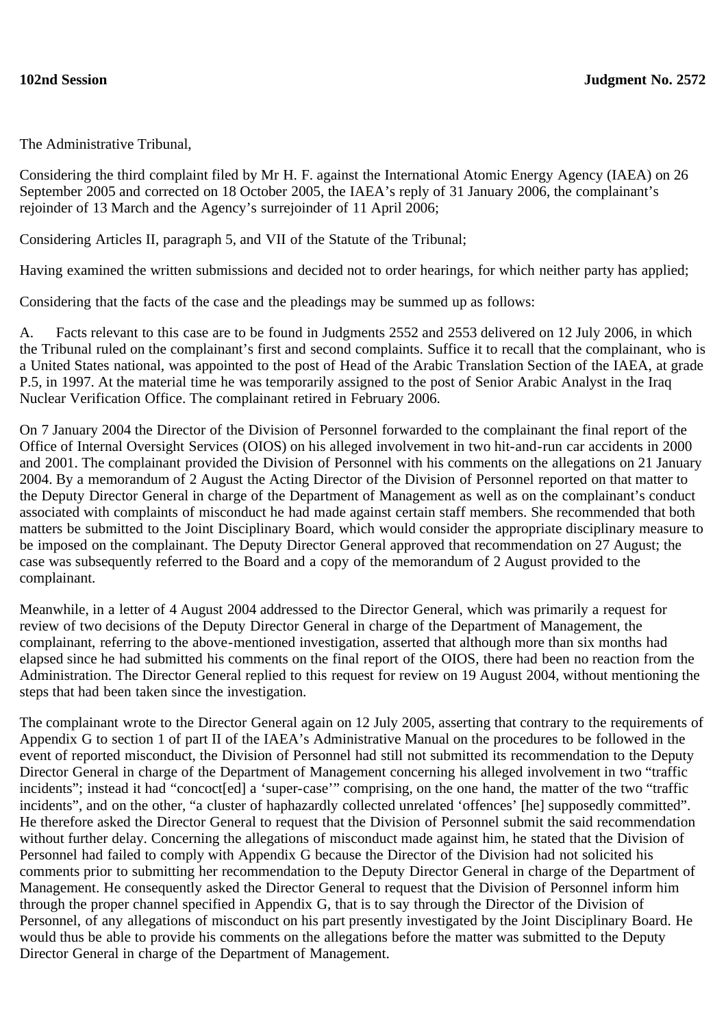The Administrative Tribunal,

Considering the third complaint filed by Mr H. F. against the International Atomic Energy Agency (IAEA) on 26 September 2005 and corrected on 18 October 2005, the IAEA's reply of 31 January 2006, the complainant's rejoinder of 13 March and the Agency's surrejoinder of 11 April 2006;

Considering Articles II, paragraph 5, and VII of the Statute of the Tribunal;

Having examined the written submissions and decided not to order hearings, for which neither party has applied;

Considering that the facts of the case and the pleadings may be summed up as follows:

A. Facts relevant to this case are to be found in Judgments 2552 and 2553 delivered on 12 July 2006, in which the Tribunal ruled on the complainant's first and second complaints. Suffice it to recall that the complainant, who is a United States national, was appointed to the post of Head of the Arabic Translation Section of the IAEA, at grade P.5, in 1997. At the material time he was temporarily assigned to the post of Senior Arabic Analyst in the Iraq Nuclear Verification Office. The complainant retired in February 2006.

On 7 January 2004 the Director of the Division of Personnel forwarded to the complainant the final report of the Office of Internal Oversight Services (OIOS) on his alleged involvement in two hit-and-run car accidents in 2000 and 2001. The complainant provided the Division of Personnel with his comments on the allegations on 21 January 2004. By a memorandum of 2 August the Acting Director of the Division of Personnel reported on that matter to the Deputy Director General in charge of the Department of Management as well as on the complainant's conduct associated with complaints of misconduct he had made against certain staff members. She recommended that both matters be submitted to the Joint Disciplinary Board, which would consider the appropriate disciplinary measure to be imposed on the complainant. The Deputy Director General approved that recommendation on 27 August; the case was subsequently referred to the Board and a copy of the memorandum of 2 August provided to the complainant.

Meanwhile, in a letter of 4 August 2004 addressed to the Director General, which was primarily a request for review of two decisions of the Deputy Director General in charge of the Department of Management, the complainant, referring to the above-mentioned investigation, asserted that although more than six months had elapsed since he had submitted his comments on the final report of the OIOS, there had been no reaction from the Administration. The Director General replied to this request for review on 19 August 2004, without mentioning the steps that had been taken since the investigation.

The complainant wrote to the Director General again on 12 July 2005, asserting that contrary to the requirements of Appendix G to section 1 of part II of the IAEA's Administrative Manual on the procedures to be followed in the event of reported misconduct, the Division of Personnel had still not submitted its recommendation to the Deputy Director General in charge of the Department of Management concerning his alleged involvement in two "traffic incidents"; instead it had "concoct[ed] a 'super-case'" comprising, on the one hand, the matter of the two "traffic incidents", and on the other, "a cluster of haphazardly collected unrelated 'offences' [he] supposedly committed". He therefore asked the Director General to request that the Division of Personnel submit the said recommendation without further delay. Concerning the allegations of misconduct made against him, he stated that the Division of Personnel had failed to comply with Appendix G because the Director of the Division had not solicited his comments prior to submitting her recommendation to the Deputy Director General in charge of the Department of Management. He consequently asked the Director General to request that the Division of Personnel inform him through the proper channel specified in Appendix G, that is to say through the Director of the Division of Personnel, of any allegations of misconduct on his part presently investigated by the Joint Disciplinary Board. He would thus be able to provide his comments on the allegations before the matter was submitted to the Deputy Director General in charge of the Department of Management.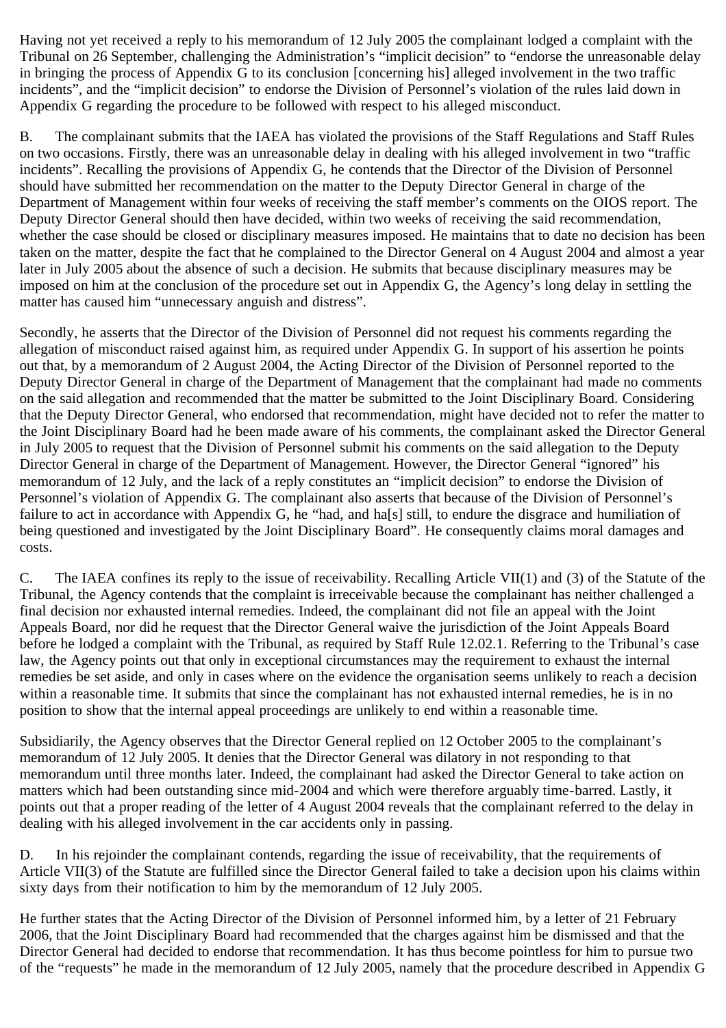Having not yet received a reply to his memorandum of 12 July 2005 the complainant lodged a complaint with the Tribunal on 26 September, challenging the Administration's "implicit decision" to "endorse the unreasonable delay in bringing the process of Appendix G to its conclusion [concerning his] alleged involvement in the two traffic incidents", and the "implicit decision" to endorse the Division of Personnel's violation of the rules laid down in Appendix G regarding the procedure to be followed with respect to his alleged misconduct.

B. The complainant submits that the IAEA has violated the provisions of the Staff Regulations and Staff Rules on two occasions. Firstly, there was an unreasonable delay in dealing with his alleged involvement in two "traffic incidents". Recalling the provisions of Appendix G, he contends that the Director of the Division of Personnel should have submitted her recommendation on the matter to the Deputy Director General in charge of the Department of Management within four weeks of receiving the staff member's comments on the OIOS report. The Deputy Director General should then have decided, within two weeks of receiving the said recommendation, whether the case should be closed or disciplinary measures imposed. He maintains that to date no decision has been taken on the matter, despite the fact that he complained to the Director General on 4 August 2004 and almost a year later in July 2005 about the absence of such a decision. He submits that because disciplinary measures may be imposed on him at the conclusion of the procedure set out in Appendix G, the Agency's long delay in settling the matter has caused him "unnecessary anguish and distress".

Secondly, he asserts that the Director of the Division of Personnel did not request his comments regarding the allegation of misconduct raised against him, as required under Appendix G. In support of his assertion he points out that, by a memorandum of 2 August 2004, the Acting Director of the Division of Personnel reported to the Deputy Director General in charge of the Department of Management that the complainant had made no comments on the said allegation and recommended that the matter be submitted to the Joint Disciplinary Board. Considering that the Deputy Director General, who endorsed that recommendation, might have decided not to refer the matter to the Joint Disciplinary Board had he been made aware of his comments, the complainant asked the Director General in July 2005 to request that the Division of Personnel submit his comments on the said allegation to the Deputy Director General in charge of the Department of Management. However, the Director General "ignored" his memorandum of 12 July, and the lack of a reply constitutes an "implicit decision" to endorse the Division of Personnel's violation of Appendix G. The complainant also asserts that because of the Division of Personnel's failure to act in accordance with Appendix G, he "had, and ha<sup>[s]</sup> still, to endure the disgrace and humiliation of being questioned and investigated by the Joint Disciplinary Board". He consequently claims moral damages and costs.

C. The IAEA confines its reply to the issue of receivability. Recalling Article VII(1) and (3) of the Statute of the Tribunal, the Agency contends that the complaint is irreceivable because the complainant has neither challenged a final decision nor exhausted internal remedies. Indeed, the complainant did not file an appeal with the Joint Appeals Board, nor did he request that the Director General waive the jurisdiction of the Joint Appeals Board before he lodged a complaint with the Tribunal, as required by Staff Rule 12.02.1. Referring to the Tribunal's case law, the Agency points out that only in exceptional circumstances may the requirement to exhaust the internal remedies be set aside, and only in cases where on the evidence the organisation seems unlikely to reach a decision within a reasonable time. It submits that since the complainant has not exhausted internal remedies, he is in no position to show that the internal appeal proceedings are unlikely to end within a reasonable time.

Subsidiarily, the Agency observes that the Director General replied on 12 October 2005 to the complainant's memorandum of 12 July 2005. It denies that the Director General was dilatory in not responding to that memorandum until three months later. Indeed, the complainant had asked the Director General to take action on matters which had been outstanding since mid-2004 and which were therefore arguably time-barred. Lastly, it points out that a proper reading of the letter of 4 August 2004 reveals that the complainant referred to the delay in dealing with his alleged involvement in the car accidents only in passing.

D. In his rejoinder the complainant contends, regarding the issue of receivability, that the requirements of Article VII(3) of the Statute are fulfilled since the Director General failed to take a decision upon his claims within sixty days from their notification to him by the memorandum of 12 July 2005.

He further states that the Acting Director of the Division of Personnel informed him, by a letter of 21 February 2006, that the Joint Disciplinary Board had recommended that the charges against him be dismissed and that the Director General had decided to endorse that recommendation. It has thus become pointless for him to pursue two of the "requests" he made in the memorandum of 12 July 2005, namely that the procedure described in Appendix G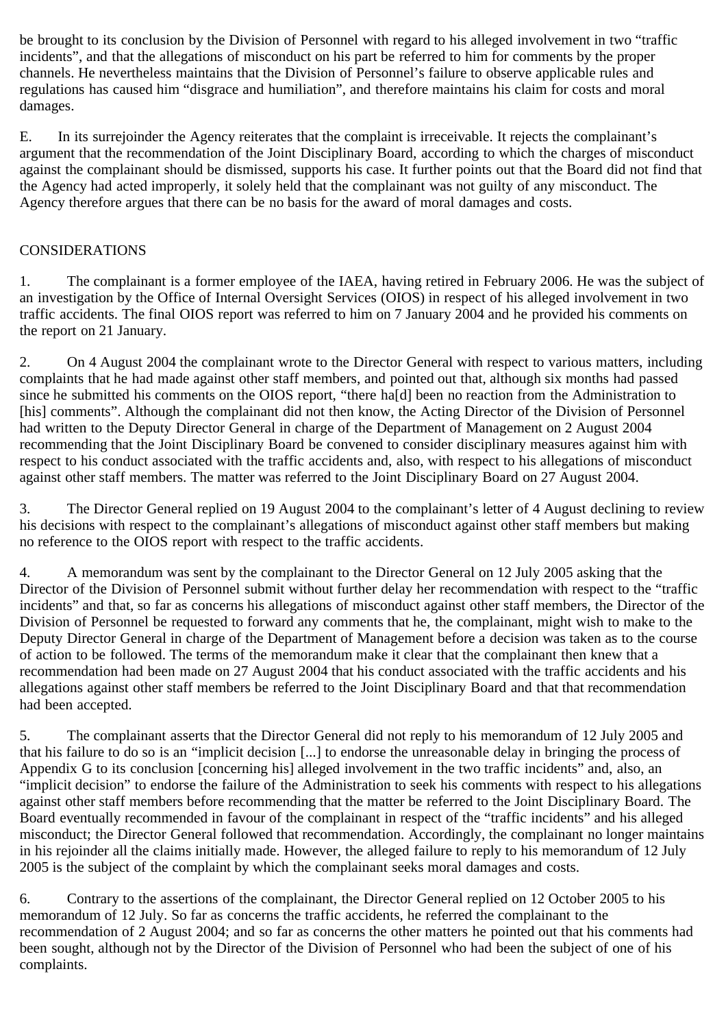be brought to its conclusion by the Division of Personnel with regard to his alleged involvement in two "traffic incidents", and that the allegations of misconduct on his part be referred to him for comments by the proper channels. He nevertheless maintains that the Division of Personnel's failure to observe applicable rules and regulations has caused him "disgrace and humiliation", and therefore maintains his claim for costs and moral damages.

E. In its surrejoinder the Agency reiterates that the complaint is irreceivable. It rejects the complainant's argument that the recommendation of the Joint Disciplinary Board, according to which the charges of misconduct against the complainant should be dismissed, supports his case. It further points out that the Board did not find that the Agency had acted improperly, it solely held that the complainant was not guilty of any misconduct. The Agency therefore argues that there can be no basis for the award of moral damages and costs.

## CONSIDERATIONS

1. The complainant is a former employee of the IAEA, having retired in February 2006. He was the subject of an investigation by the Office of Internal Oversight Services (OIOS) in respect of his alleged involvement in two traffic accidents. The final OIOS report was referred to him on 7 January 2004 and he provided his comments on the report on 21 January.

2. On 4 August 2004 the complainant wrote to the Director General with respect to various matters, including complaints that he had made against other staff members, and pointed out that, although six months had passed since he submitted his comments on the OIOS report, "there ha[d] been no reaction from the Administration to [his] comments". Although the complainant did not then know, the Acting Director of the Division of Personnel had written to the Deputy Director General in charge of the Department of Management on 2 August 2004 recommending that the Joint Disciplinary Board be convened to consider disciplinary measures against him with respect to his conduct associated with the traffic accidents and, also, with respect to his allegations of misconduct against other staff members. The matter was referred to the Joint Disciplinary Board on 27 August 2004.

3. The Director General replied on 19 August 2004 to the complainant's letter of 4 August declining to review his decisions with respect to the complainant's allegations of misconduct against other staff members but making no reference to the OIOS report with respect to the traffic accidents.

4. A memorandum was sent by the complainant to the Director General on 12 July 2005 asking that the Director of the Division of Personnel submit without further delay her recommendation with respect to the "traffic incidents" and that, so far as concerns his allegations of misconduct against other staff members, the Director of the Division of Personnel be requested to forward any comments that he, the complainant, might wish to make to the Deputy Director General in charge of the Department of Management before a decision was taken as to the course of action to be followed. The terms of the memorandum make it clear that the complainant then knew that a recommendation had been made on 27 August 2004 that his conduct associated with the traffic accidents and his allegations against other staff members be referred to the Joint Disciplinary Board and that that recommendation had been accepted.

5. The complainant asserts that the Director General did not reply to his memorandum of 12 July 2005 and that his failure to do so is an "implicit decision [...] to endorse the unreasonable delay in bringing the process of Appendix G to its conclusion [concerning his] alleged involvement in the two traffic incidents" and, also, an "implicit decision" to endorse the failure of the Administration to seek his comments with respect to his allegations against other staff members before recommending that the matter be referred to the Joint Disciplinary Board. The Board eventually recommended in favour of the complainant in respect of the "traffic incidents" and his alleged misconduct; the Director General followed that recommendation. Accordingly, the complainant no longer maintains in his rejoinder all the claims initially made. However, the alleged failure to reply to his memorandum of 12 July 2005 is the subject of the complaint by which the complainant seeks moral damages and costs.

6. Contrary to the assertions of the complainant, the Director General replied on 12 October 2005 to his memorandum of 12 July. So far as concerns the traffic accidents, he referred the complainant to the recommendation of 2 August 2004; and so far as concerns the other matters he pointed out that his comments had been sought, although not by the Director of the Division of Personnel who had been the subject of one of his complaints.